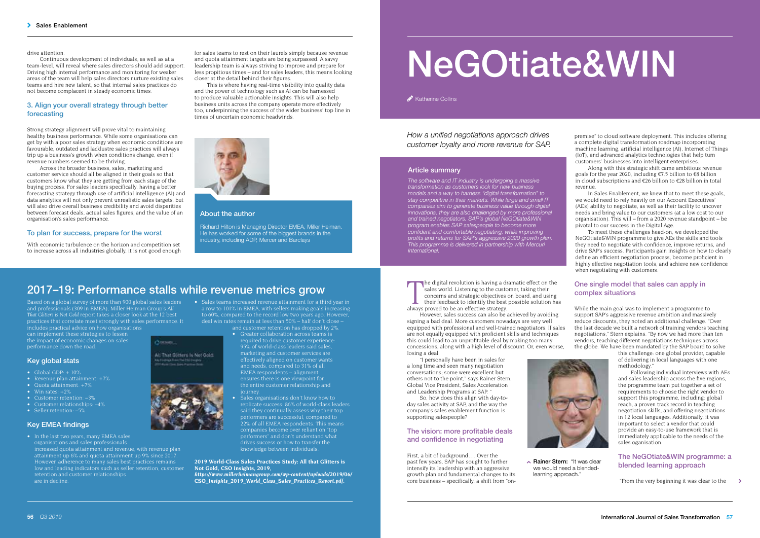# NeGOtiate&WIN

Katherine Collins

*How a unified negotiations approach drives customer loyalty and more revenue for SAP.* 

#### Article summary

*The software and IT industry is undergoing a massive transformation as customers look for new business models and a way to harness "digital transformation" to stay competitive in their markets. While large and small IT companies aim to generate business value through digital innovations, they are also challenged by more professional and trained negotiators. SAP's global NeGOtiate&WIN program enables SAP salespeople to become more confident and comfortable negotiating, while improving profits and returns for SAP's aggressive 2020 growth plan. This programme is delivered in partnership with Mercuri International.* 

The digital revolution is having a dr<br>sales world. Listening to the custo<br>concerns and strategic objectives of<br>their feedback to identify the best<br>always proved to be an effective strategy. he digital revolution is having a dramatic effect on the sales world. Listening to the customer, taking their concerns and strategic objectives on board, and using their feedback to identify the best possible solution has

However, sales success can also be achieved by avoiding signing a bad deal. More customers nowadays are very well equipped with professional and well-trained negotiators. If sales are not equally equipped with proficient skills and techniques this could lead to an unprofitable deal by making too many concessions, along with a high level of discount. Or, even worse, losing a deal.

"I personally have been in sales for a long time and seen many negotiation conversations; some were excellent but others not to the point," says Rainer Stern, Global Vice President, Sales Acceleration and Leadership Programs at SAP. "

So, how does this align with day-today sales activity at SAP, and the way the company's sales enablement function is supporting salespeople?

# The vision: more profitable deals and confidence in negotiating

First, a bit of background…. Over the past few years, SAP has sought to further intensify its leadership with an aggressive growth plan and fundamental changes to its core business – specifically, a shift from "on-



**Rainer Stern: "It was clear** we would need a blendedlearning approach."

premise" to cloud software deployment. This includes offering a complete digital transformation roadmap incorporating machine learning, artificial intelligence (AI), Internet of Things (IoT), and advanced analytics technologies that help turn customers' businesses into intelligent enterprises.

Along with this strategic shift came ambitious revenue goals for the year 2020, including €7.5 billion to €8 billion in cloud subscriptions and €26 billion to €28 billion in total revenue.

In Sales Enablement, we knew that to meet these goals, we would need to rely heavily on our Account Executives' (AEs) ability to negotiate, as well as their facility to uncover needs and bring value to our customers (at a low cost to our organisation). This will – from a 2020 revenue standpoint – be pivotal to our success in the Digital Age.

To meet these challenges head-on, we developed the NeGOtiate&WIN programme to give AEs the skills and tools they need to negotiate with confidence, improve returns, and drive SAP's success. Participants gain insights on how to clearly define an efficient negotiation process, become proficient in highly effective negotiation tools, and achieve new confidence when negotiating with customers.

# One single model that sales can apply in complex situations

While the main goal was to implement a programme to support SAP's aggressive revenue ambition and massively reduce discounts, they noted an additional challenge. "Over the last decade we built a network of training vendors teaching negotiations," Stern explains. "By now we had more than ten vendors, teaching different negotiations techniques across the globe. We have been mandated by the SAP board to solve

this challenge: one global provider, capable of delivering in local languages with one methodology."

Following individual interviews with AEs and sales leadership across the five regions, the programme team put together a set of requirements to choose the right vendor to support this programme, including: global reach, a proven track record in teaching negotiation skills, and offering negotiations in 12 local languages. Additionally, it was important to select a vendor that could provide an easy-to-use framework that is immediately applicable to the needs of the sales oganisation.

#### The NeGOtiate&WIN programme: a blended learning approach

 "From the very beginning it was clear to the  $\overline{\phantom{0}}$